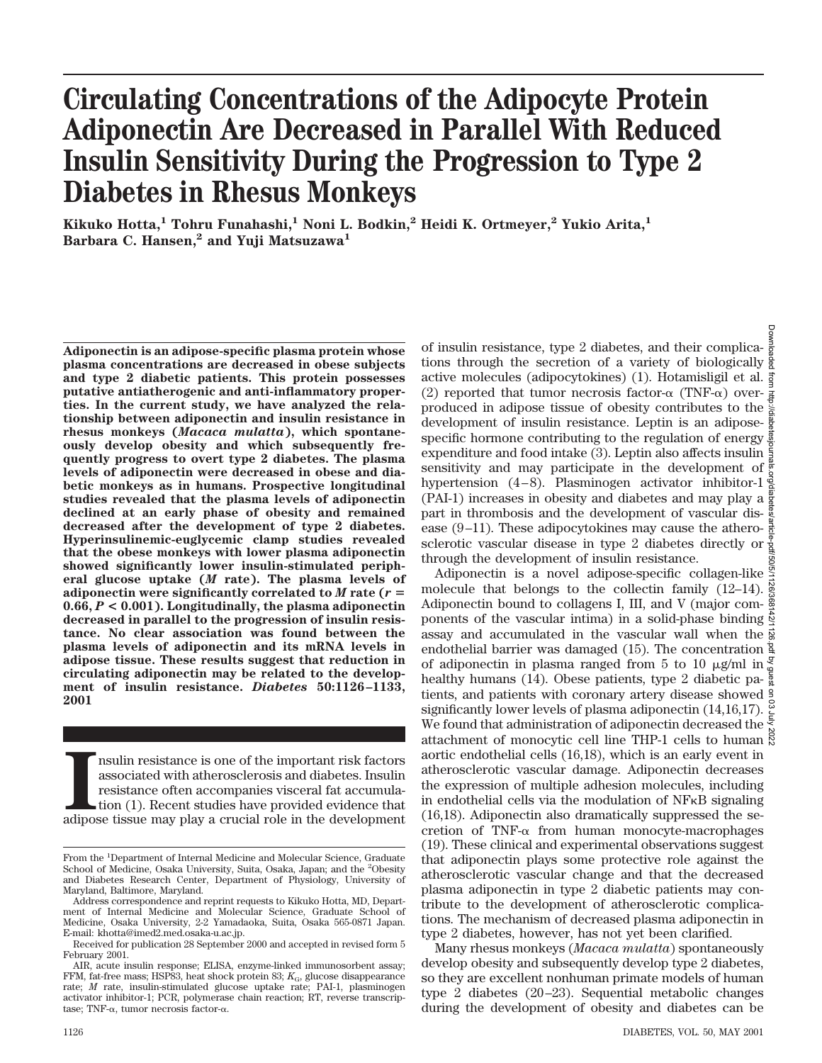# **Circulating Concentrations of the Adipocyte Protein Adiponectin Are Decreased in Parallel With Reduced Insulin Sensitivity During the Progression to Type 2 Diabetes in Rhesus Monkeys**

**Kikuko Hotta,1 Tohru Funahashi,1 Noni L. Bodkin,2 Heidi K. Ortmeyer,2 Yukio Arita,1 Barbara C. Hansen,2 and Yuji Matsuzawa1**

**Adiponectin is an adipose-specific plasma protein whose plasma concentrations are decreased in obese subjects and type 2 diabetic patients. This protein possesses putative antiatherogenic and anti-inflammatory properties. In the current study, we have analyzed the relationship between adiponectin and insulin resistance in rhesus monkeys (***Macaca mulatta***), which spontaneously develop obesity and which subsequently frequently progress to overt type 2 diabetes. The plasma levels of adiponectin were decreased in obese and diabetic monkeys as in humans. Prospective longitudinal studies revealed that the plasma levels of adiponectin declined at an early phase of obesity and remained decreased after the development of type 2 diabetes. Hyperinsulinemic-euglycemic clamp studies revealed that the obese monkeys with lower plasma adiponectin showed significantly lower insulin-stimulated peripheral glucose uptake (***M* **rate). The plasma levels of** adiponectin were significantly correlated to  $M$  rate ( $r =$ **0.66,** *P* **< 0.001). Longitudinally, the plasma adiponectin decreased in parallel to the progression of insulin resistance. No clear association was found between the plasma levels of adiponectin and its mRNA levels in adipose tissue. These results suggest that reduction in circulating adiponectin may be related to the development of insulin resistance.** *Diabetes* **50:1126–1133, 2001**

III in resistance is one of the important risk factors associated with a<br>therosclerosis and diabetes. Insulin resistance often accompanies visceral fat accumulation<br>(1). Recent studies have provided evidence that adipose t nsulin resistance is one of the important risk factors associated with atherosclerosis and diabetes. Insulin resistance often accompanies visceral fat accumulation (1). Recent studies have provided evidence that

of insulin resistance, type 2 diabetes, and their complications through the secretion of a variety of biologically active molecules (adipocytokines) (1). Hotamisligil et al. (2) reported that tumor necrosis factor- $\alpha$  (TNF- $\alpha$ ) over- $\frac{3}{4}$ produced in adipose tissue of obesity contributes to the development of insulin resistance. Leptin is an adiposespecific hormone contributing to the regulation of energy  $\frac{3}{2}$ expenditure and food intake (3). Leptin also affects insulin  $\frac{5}{2}$ sensitivity and may participate in the development of  $\frac{3}{6}$ hypertension (4–8). Plasminogen activator inhibitor-1 $\frac{3}{8}$ (PAI-1) increases in obesity and diabetes and may play a  $\frac{8}{8}$ part in thrombosis and the development of vascular disease (9–11). These adipocytokines may cause the atherosclerotic vascular disease in type 2 diabetes directly or through the development of insulin resistance. Downloaded from http://diabetesjournals.org/diabetes/article-pdf/50/5/1126/368142/1126.pdf by guest on 03 July 2022

Adiponectin is a novel adipose-specific collagen-like  $\frac{3}{2}$ molecule that belongs to the collectin family (12-14). Adiponectin bound to collagens I, III, and V (major com- $\frac{8}{3}$ ponents of the vascular intima) in a solid-phase binding  $\frac{1}{2}$ assay and accumulated in the vascular wall when the  $\frac{3}{8}$ endothelial barrier was damaged (15). The concentration  $\frac{a}{2}$ of adiponectin in plasma ranged from 5 to 10  $\mu$ g/ml in  $\frac{3}{4}$ healthy humans (14). Obese patients, type 2 diabetic patients, and patients with coronary artery disease showed significantly lower levels of plasma adiponectin (14,16,17).  $\frac{8}{3}$ We found that administration of adiponectin decreased the attachment of monocytic cell line THP-1 cells to human  $\frac{8}{8}$ aortic endothelial cells (16,18), which is an early event in atherosclerotic vascular damage. Adiponectin decreases the expression of multiple adhesion molecules, including in endothelial cells via the modulation of NFkB signaling (16,18). Adiponectin also dramatically suppressed the secretion of TNF- $\alpha$  from human monocyte-macrophages (19). These clinical and experimental observations suggest that adiponectin plays some protective role against the atherosclerotic vascular change and that the decreased plasma adiponectin in type 2 diabetic patients may contribute to the development of atherosclerotic complications. The mechanism of decreased plasma adiponectin in type 2 diabetes, however, has not yet been clarified.

Many rhesus monkeys (*Macaca mulatta*) spontaneously develop obesity and subsequently develop type 2 diabetes, so they are excellent nonhuman primate models of human type 2 diabetes (20–23). Sequential metabolic changes during the development of obesity and diabetes can be

From the <sup>1</sup>Department of Internal Medicine and Molecular Science, Graduate School of Medicine, Osaka University, Suita, Osaka, Japan; and the <sup>2</sup>Obesity and Diabetes Research Center, Department of Physiology, University of Maryland, Baltimore, Maryland.

Address correspondence and reprint requests to Kikuko Hotta, MD, Department of Internal Medicine and Molecular Science, Graduate School of Medicine, Osaka University, 2-2 Yamadaoka, Suita, Osaka 565-0871 Japan. E-mail: khotta@imed2.med.osaka-u.ac.jp.

Received for publication 28 September 2000 and accepted in revised form 5 February 2001.

AIR, acute insulin response; ELISA, enzyme-linked immunosorbent assay; FFM, fat-free mass; HSP83, heat shock protein 83;  $K_{\text{G}}$ , glucose disappearance rate; *M* rate, insulin-stimulated glucose uptake rate; PAI-1, plasminogen activator inhibitor-1; PCR, polymerase chain reaction; RT, reverse transcriptase; TNF- $\alpha$ , tumor necrosis factor- $\alpha$ .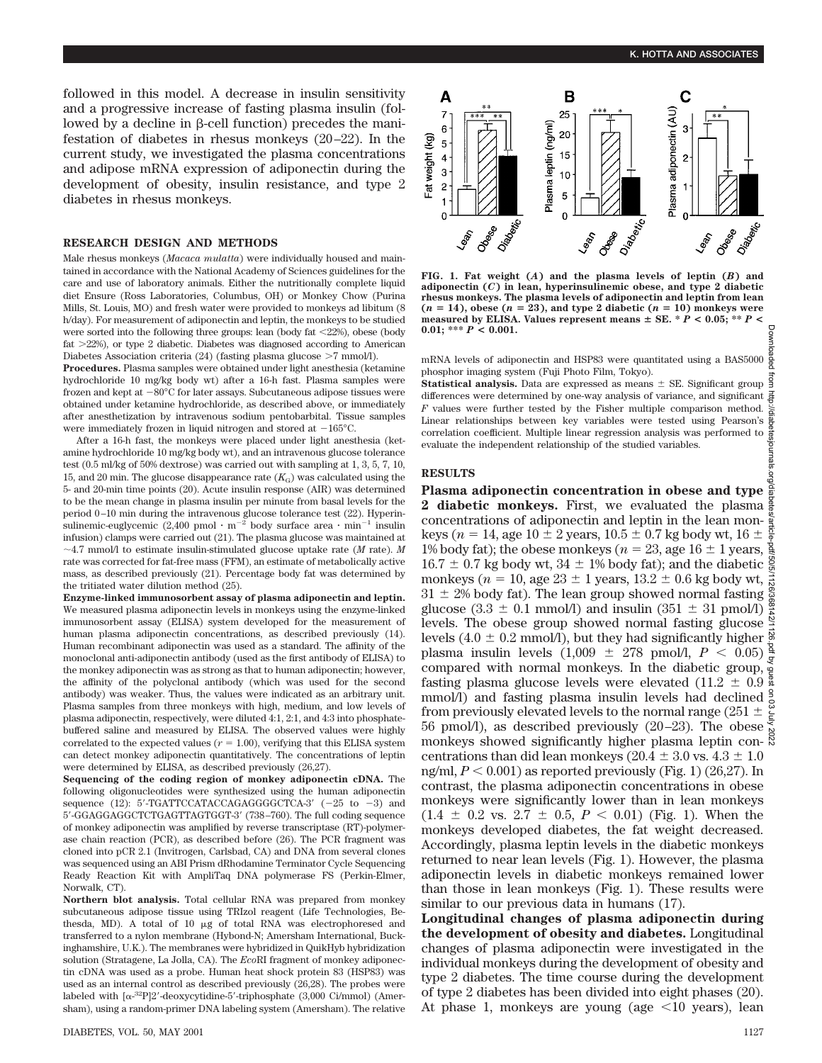followed in this model. A decrease in insulin sensitivity and a progressive increase of fasting plasma insulin (followed by a decline in  $\beta$ -cell function) precedes the manifestation of diabetes in rhesus monkeys (20–22). In the current study, we investigated the plasma concentrations and adipose mRNA expression of adiponectin during the development of obesity, insulin resistance, and type 2 diabetes in rhesus monkeys.

### **RESEARCH DESIGN AND METHODS**

Male rhesus monkeys (*Macaca mulatta*) were individually housed and maintained in accordance with the National Academy of Sciences guidelines for the care and use of laboratory animals. Either the nutritionally complete liquid diet Ensure (Ross Laboratories, Columbus, OH) or Monkey Chow (Purina Mills, St. Louis, MO) and fresh water were provided to monkeys ad libitum (8 h/day). For measurement of adiponectin and leptin, the monkeys to be studied were sorted into the following three groups: lean (body fat  $\langle 22\% \rangle$ ), obese (body fat  $>22\%$ ), or type 2 diabetic. Diabetes was diagnosed according to American Diabetes Association criteria (24) (fasting plasma glucose  $>7$  mmol/l).

**Procedures.** Plasma samples were obtained under light anesthesia (ketamine hydrochloride 10 mg/kg body wt) after a 16-h fast. Plasma samples were frozen and kept at  $-80^{\circ}$ C for later assays. Subcutaneous adipose tissues were obtained under ketamine hydrochloride, as described above, or immediately after anesthetization by intravenous sodium pentobarbital. Tissue samples were immediately frozen in liquid nitrogen and stored at  $-165^{\circ}$ C.

After a 16-h fast, the monkeys were placed under light anesthesia (ketamine hydrochloride 10 mg/kg body wt), and an intravenous glucose tolerance test (0.5 ml/kg of 50% dextrose) was carried out with sampling at 1, 3, 5, 7, 10, 15, and 20 min. The glucose disappearance rate  $(K_G)$  was calculated using the 5- and 20-min time points (20). Acute insulin response (AIR) was determined to be the mean change in plasma insulin per minute from basal levels for the period 0–10 min during the intravenous glucose tolerance test (22). Hyperinsulinemic-euglycemic (2,400 pmol  $\cdot$  m<sup>-2</sup> body surface area  $\cdot$  min<sup>-1</sup> insulin infusion) clamps were carried out (21). The plasma glucose was maintained at  $\sim$ 4.7 mmol/l to estimate insulin-stimulated glucose uptake rate (*M* rate). *M* rate was corrected for fat-free mass (FFM), an estimate of metabolically active mass, as described previously (21). Percentage body fat was determined by the tritiated water dilution method (25).

**Enzyme-linked immunosorbent assay of plasma adiponectin and leptin.** We measured plasma adiponectin levels in monkeys using the enzyme-linked immunosorbent assay (ELISA) system developed for the measurement of human plasma adiponectin concentrations, as described previously (14). Human recombinant adiponectin was used as a standard. The affinity of the monoclonal anti-adiponectin antibody (used as the first antibody of ELISA) to the monkey adiponectin was as strong as that to human adiponectin; however, the affinity of the polyclonal antibody (which was used for the second antibody) was weaker. Thus, the values were indicated as an arbitrary unit. Plasma samples from three monkeys with high, medium, and low levels of plasma adiponectin, respectively, were diluted 4:1, 2:1, and 4:3 into phosphatebuffered saline and measured by ELISA. The observed values were highly correlated to the expected values ( $r = 1.00$ ), verifying that this ELISA system can detect monkey adiponectin quantitatively. The concentrations of leptin were determined by ELISA, as described previously (26,27).

**Sequencing of the coding region of monkey adiponectin cDNA.** The following oligonucleotides were synthesized using the human adiponectin sequence (12):  $5'$ -TGATTCCATACCAGAGGGGCTCA-3' ( $-25$  to  $-3$ ) and 5'-GGAGGAGGCTCTGAGTTAGTGGT-3' (738–760). The full coding sequence of monkey adiponectin was amplified by reverse transcriptase (RT)-polymerase chain reaction (PCR), as described before (26). The PCR fragment was cloned into pCR 2.1 (Invitrogen, Carlsbad, CA) and DNA from several clones was sequenced using an ABI Prism dRhodamine Terminator Cycle Sequencing Ready Reaction Kit with AmpliTaq DNA polymerase FS (Perkin-Elmer, Norwalk, CT).

**Northern blot analysis.** Total cellular RNA was prepared from monkey subcutaneous adipose tissue using TRIzol reagent (Life Technologies, Bethesda, MD). A total of 10 mg of total RNA was electrophoresed and transferred to a nylon membrane (Hybond-N; Amersham International, Buckinghamshire, U.K.). The membranes were hybridized in QuikHyb hybridization solution (Stratagene, La Jolla, CA). The *Eco*RI fragment of monkey adiponectin cDNA was used as a probe. Human heat shock protein 83 (HSP83) was used as an internal control as described previously (26,28). The probes were labeled with  $[\alpha^{32}P]2'$ -deoxycytidine-5'-triphosphate (3,000 Ci/mmol) (Amersham), using a random-primer DNA labeling system (Amersham). The relative



**FIG. 1. Fat weight (***A***) and the plasma levels of leptin (***B***) and adiponectin (***C***) in lean, hyperinsulinemic obese, and type 2 diabetic rhesus monkeys. The plasma levels of adiponectin and leptin from lean**  $(n = 14)$ , obese  $(n = 23)$ , and type 2 diabetic  $(n = 10)$  monkeys were measured by ELISA. Values represent means  $\pm$  SE.  $*$   $\dot{P}$  < 0.05;  $*$   $*$   $P$  < **0.01; \*\*\*** *P* **< 0.001.**

mRNA levels of adiponectin and HSP83 were quantitated using a BAS5000 phosphor imaging system (Fuji Photo Film, Tokyo).

**Statistical analysis.** Data are expressed as means  $\pm$  SE. Significant group differences were determined by one-way analysis of variance, and significant *F* values were further tested by the Fisher multiple comparison method. Linear relationships between key variables were tested using Pearson's correlation coefficient. Multiple linear regression analysis was performed to evaluate the independent relationship of the studied variables.

#### **RESULTS**

**Plasma adiponectin concentration in obese and type 2 diabetic monkeys.** First, we evaluated the plasma concentrations of adiponectin and leptin in the lean monkeys ( $n = 14$ , age  $10 \pm 2$  years,  $10.5 \pm 0.7$  kg body wt,  $16 \pm$ 1% body fat); the obese monkeys ( $n = 23$ , age 16  $\pm$  1 years,  $16.7 \pm 0.7$  kg body wt,  $34 \pm 1\%$  body fat); and the diabetic monkeys ( $n = 10$ , age 23  $\pm$  1 years, 13.2  $\pm$  0.6 kg body wt,  $\frac{1}{\approx}$  $31 \pm 2\%$  body fat). The lean group showed normal fasting  $\frac{8}{8}$ glucose  $(3.3 \pm 0.1 \text{ mmol/l})$  and insulin  $(351 \pm 31 \text{ mmol/l})$ levels. The obese group showed normal fasting glucose levels (4.0  $\pm$  0.2 mmol/l), but they had significantly higher  $\frac{8}{5}$ plasma insulin levels  $(1,009 \pm 278 \text{ pmol/l}, P < 0.05) \frac{8}{5}$ compared with normal monkeys. In the diabetic group, fasting plasma glucose levels were elevated (11.2  $\pm$  0.9 mmol/l) and fasting plasma insulin levels had declined  $\frac{9}{8}$ from previously elevated levels to the normal range  $(251 \pm \frac{2}{5})$ 56 pmol/l), as described previously (20–23). The obese  $\bar{\xi}$ monkeys showed significantly higher plasma leptin con- $\frac{8}{3}$ centrations than did lean monkeys (20.4  $\pm$  3.0 vs. 4.3  $\pm$  1.0 ng/ml,  $P < 0.001$ ) as reported previously (Fig. 1) (26,27). In contrast, the plasma adiponectin concentrations in obese monkeys were significantly lower than in lean monkeys  $(1.4 \pm 0.2 \text{ vs. } 2.7 \pm 0.5, P < 0.01)$  (Fig. 1). When the monkeys developed diabetes, the fat weight decreased. Accordingly, plasma leptin levels in the diabetic monkeys returned to near lean levels (Fig. 1). However, the plasma adiponectin levels in diabetic monkeys remained lower than those in lean monkeys (Fig. 1). These results were similar to our previous data in humans (17).

**Longitudinal changes of plasma adiponectin during the development of obesity and diabetes.** Longitudinal changes of plasma adiponectin were investigated in the individual monkeys during the development of obesity and type 2 diabetes. The time course during the development of type 2 diabetes has been divided into eight phases (20). At phase 1, monkeys are young (age  $\leq 10$  years), lean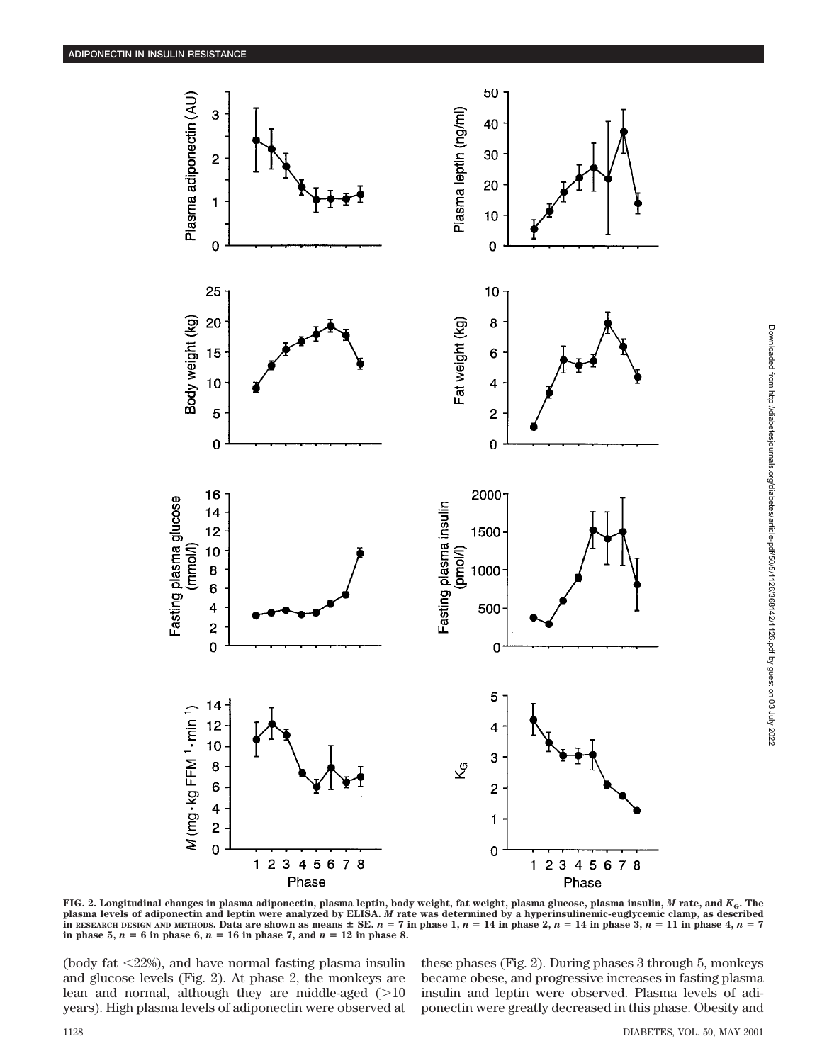

Phase Phase **FIG. 2. Longitudinal changes in plasma adiponectin, plasma leptin, body weight, fat weight, plasma glucose, plasma insulin,** *M* **rate, and** *K***G. The plasma levels of adiponectin and leptin were analyzed by ELISA.** *M* **rate was determined by a hyperinsulinemic-euglycemic clamp, as described** In RESEARCH DESIGN AND METHODS. Data are shown as means  $\pm$  SE.  $n = 7$  in phase 1,  $n = 14$  in phase 2,  $n = 14$  in phase 3,  $n = 11$  in phase 4,  $n = 7$ 

(body fat  $\langle 22\% \rangle$ , and have normal fasting plasma insulin and glucose levels (Fig. 2). At phase 2, the monkeys are lean and normal, although they are middle-aged  $(>10$ years). High plasma levels of adiponectin were observed at

**in phase 5,**  $n = 6$  in phase 6,  $n = 16$  in phase 7, and  $n = 12$  in phase 8.

these phases (Fig. 2). During phases 3 through 5, monkeys became obese, and progressive increases in fasting plasma insulin and leptin were observed. Plasma levels of adiponectin were greatly decreased in this phase. Obesity and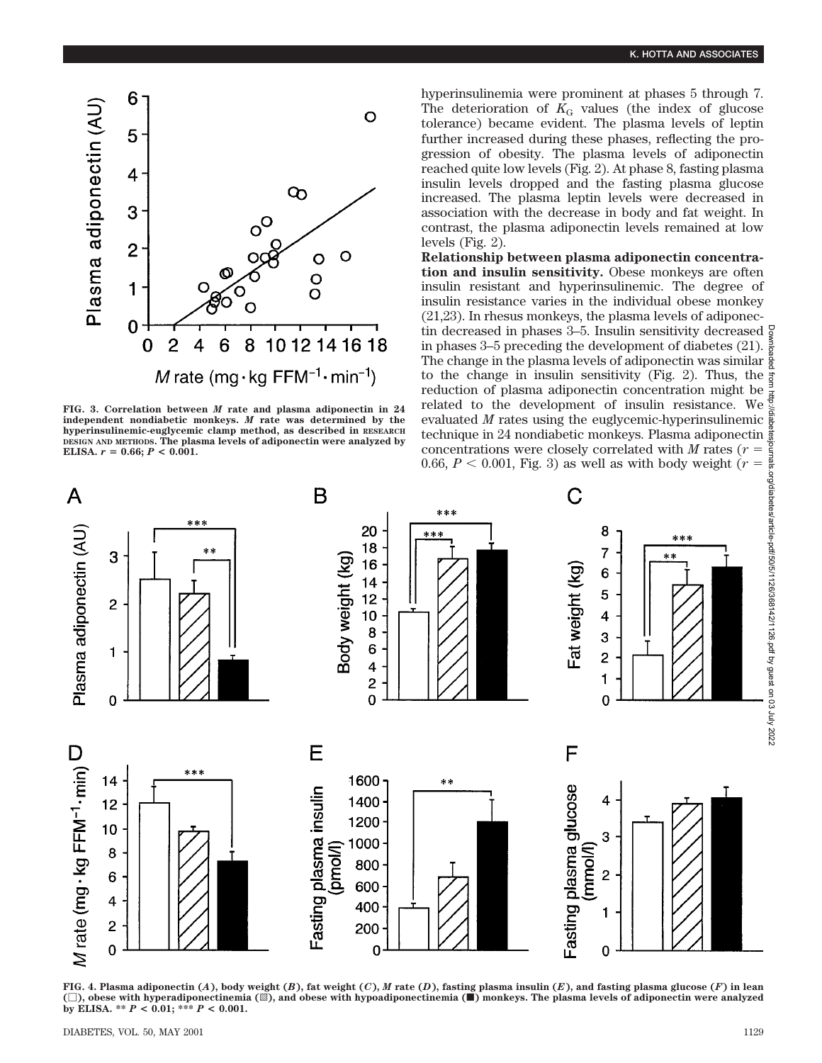

**FIG. 3. Correlation between** *M* **rate and plasma adiponectin in 24 independent nondiabetic monkeys.** *M* **rate was determined by the hyperinsulinemic-euglycemic clamp method, as described in RESEARCH DESIGN AND METHODS. The plasma levels of adiponectin were analyzed by ELISA.**  $r = 0.66$ ;  $P < 0.001$ .

hyperinsulinemia were prominent at phases 5 through 7. The deterioration of  $K<sub>G</sub>$  values (the index of glucose tolerance) became evident. The plasma levels of leptin further increased during these phases, reflecting the progression of obesity. The plasma levels of adiponectin reached quite low levels (Fig. 2). At phase 8, fasting plasma insulin levels dropped and the fasting plasma glucose increased. The plasma leptin levels were decreased in association with the decrease in body and fat weight. In contrast, the plasma adiponectin levels remained at low levels (Fig. 2).

**Relationship between plasma adiponectin concentration and insulin sensitivity.** Obese monkeys are often insulin resistant and hyperinsulinemic. The degree of insulin resistance varies in the individual obese monkey (21,23). In rhesus monkeys, the plasma levels of adiponectin decreased in phases 3–5. Insulin sensitivity decreased  $\frac{5}{2}$ in phases 3–5 preceding the development of diabetes (21). The change in the plasma levels of adiponectin was similar to the change in insulin sensitivity (Fig. 2). Thus, the reduction of plasma adiponectin concentration might be related to the development of insulin resistance. We evaluated *M* rates using the euglycemic-hyperinsulinemic technique in 24 nondiabetic monkeys. Plasma adiponectin concentrations were closely correlated with  $M$  rates ( $r =$ 0.66,  $P < 0.001$ , Fig. 3) as well as with body weight ( $r =$ 



FIG. 4. Plasma adiponectin  $(A)$ , body weight  $(B)$ , fat weight  $(C)$ , M rate  $(D)$ , fasting plasma insulin  $(E)$ , and fasting plasma glucose  $(F)$  in lean **(**M**), obese with hyperadiponectinemia (**o**), and obese with hypoadiponectinemia (**f**) monkeys. The plasma levels of adiponectin were analyzed by ELISA. \*\*** *P* **< 0.01; \*\*\*** *P* **< 0.001.**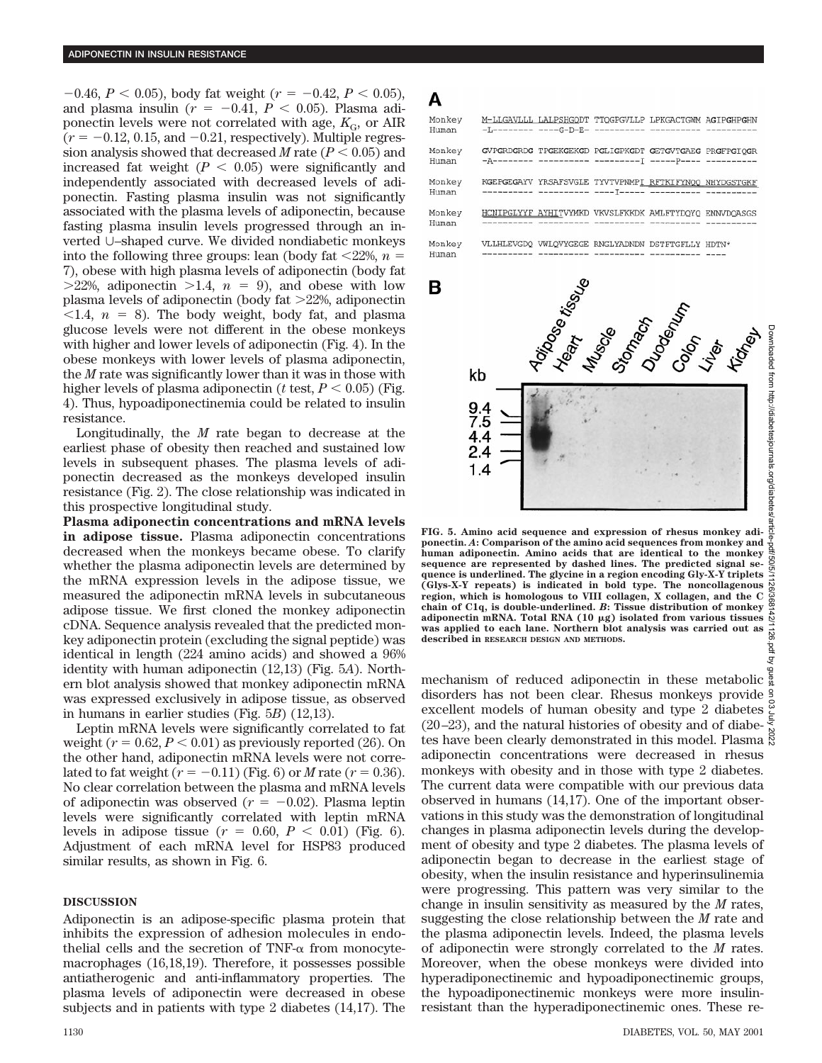$-0.46$ ,  $P < 0.05$ ), body fat weight ( $r = -0.42$ ,  $P < 0.05$ ), and plasma insulin ( $r = -0.41$ ,  $P < 0.05$ ). Plasma adiponectin levels were not correlated with age,  $K_{\text{G}}$ , or AIR  $(r = -0.12, 0.15, \text{ and } -0.21, \text{ respectively})$ . Multiple regression analysis showed that decreased *M* rate  $(P < 0.05)$  and increased fat weight  $(P < 0.05)$  were significantly and independently associated with decreased levels of adiponectin. Fasting plasma insulin was not significantly associated with the plasma levels of adiponectin, because fasting plasma insulin levels progressed through an inverted U–shaped curve. We divided nondiabetic monkeys into the following three groups: lean (body fat  $\langle 22\%, n =$ 7), obese with high plasma levels of adiponectin (body fat  $>22\%$ , adiponectin  $>1.4$ ,  $n = 9$ ), and obese with low plasma levels of adiponectin (body fat  $>22\%$ , adiponectin  $\langle 1.4, n = 8 \rangle$ . The body weight, body fat, and plasma glucose levels were not different in the obese monkeys with higher and lower levels of adiponectin (Fig. 4). In the obese monkeys with lower levels of plasma adiponectin, the *M* rate was significantly lower than it was in those with higher levels of plasma adiponectin ( $t$  test,  $P < 0.05$ ) (Fig. 4). Thus, hypoadiponectinemia could be related to insulin resistance.

Longitudinally, the *M* rate began to decrease at the earliest phase of obesity then reached and sustained low levels in subsequent phases. The plasma levels of adiponectin decreased as the monkeys developed insulin resistance (Fig. 2). The close relationship was indicated in this prospective longitudinal study.

**Plasma adiponectin concentrations and mRNA levels in adipose tissue.** Plasma adiponectin concentrations decreased when the monkeys became obese. To clarify whether the plasma adiponectin levels are determined by the mRNA expression levels in the adipose tissue, we measured the adiponectin mRNA levels in subcutaneous adipose tissue. We first cloned the monkey adiponectin cDNA. Sequence analysis revealed that the predicted monkey adiponectin protein (excluding the signal peptide) was identical in length (224 amino acids) and showed a 96% identity with human adiponectin (12,13) (Fig. 5*A*). Northern blot analysis showed that monkey adiponectin mRNA was expressed exclusively in adipose tissue, as observed in humans in earlier studies (Fig. 5*B*) (12,13).

Leptin mRNA levels were significantly correlated to fat weight  $(r = 0.62, P < 0.01)$  as previously reported (26). On the other hand, adiponectin mRNA levels were not correlated to fat weight  $(r = -0.11)$  (Fig. 6) or *M* rate  $(r = 0.36)$ . No clear correlation between the plasma and mRNA levels of adiponectin was observed  $(r = -0.02)$ . Plasma leptin levels were significantly correlated with leptin mRNA levels in adipose tissue  $(r = 0.60, P < 0.01)$  (Fig. 6). Adjustment of each mRNA level for HSP83 produced similar results, as shown in Fig. 6.

## **DISCUSSION**

Adiponectin is an adipose-specific plasma protein that inhibits the expression of adhesion molecules in endothelial cells and the secretion of  $TNF-\alpha$  from monocytemacrophages (16,18,19). Therefore, it possesses possible antiatherogenic and anti-inflammatory properties. The plasma levels of adiponectin were decreased in obese subjects and in patients with type 2 diabetes (14,17). The



**FIG. 5. Amino acid sequence and expression of rhesus monkey adiponectin.** *A***: Comparison of the amino acid sequences from monkey and human adiponectin. Amino acids that are identical to the monkey sequence are represented by dashed lines. The predicted signal sequence is underlined. The glycine in a region encoding Gly-X-Y triplets (Glys-X-Y repeats) is indicated in bold type. The noncollagenous region, which is homologous to VIII collagen, X collagen, and the C chain of C1q, is double-underlined.** *B***: Tissue distribution of monkey adiponectin mRNA. Total RNA (10** m**g) isolated from various tissues was applied to each lane. Northern blot analysis was carried out as described in RESEARCH DESIGN AND METHODS.**

mechanism of reduced adiponectin in these metabolic disorders has not been clear. Rhesus monkeys provide excellent models of human obesity and type 2 diabetes  $\frac{3}{5}$  $(20-23)$ , and the natural histories of obesity and of diabetes have been clearly demonstrated in this model. Plasma  $\ddot{\rm s}$ adiponectin concentrations were decreased in rhesus monkeys with obesity and in those with type 2 diabetes. The current data were compatible with our previous data observed in humans (14,17). One of the important observations in this study was the demonstration of longitudinal changes in plasma adiponectin levels during the development of obesity and type 2 diabetes. The plasma levels of adiponectin began to decrease in the earliest stage of obesity, when the insulin resistance and hyperinsulinemia were progressing. This pattern was very similar to the change in insulin sensitivity as measured by the *M* rates, suggesting the close relationship between the *M* rate and the plasma adiponectin levels. Indeed, the plasma levels of adiponectin were strongly correlated to the *M* rates. Moreover, when the obese monkeys were divided into hyperadiponectinemic and hypoadiponectinemic groups, the hypoadiponectinemic monkeys were more insulinresistant than the hyperadiponectinemic ones. These re-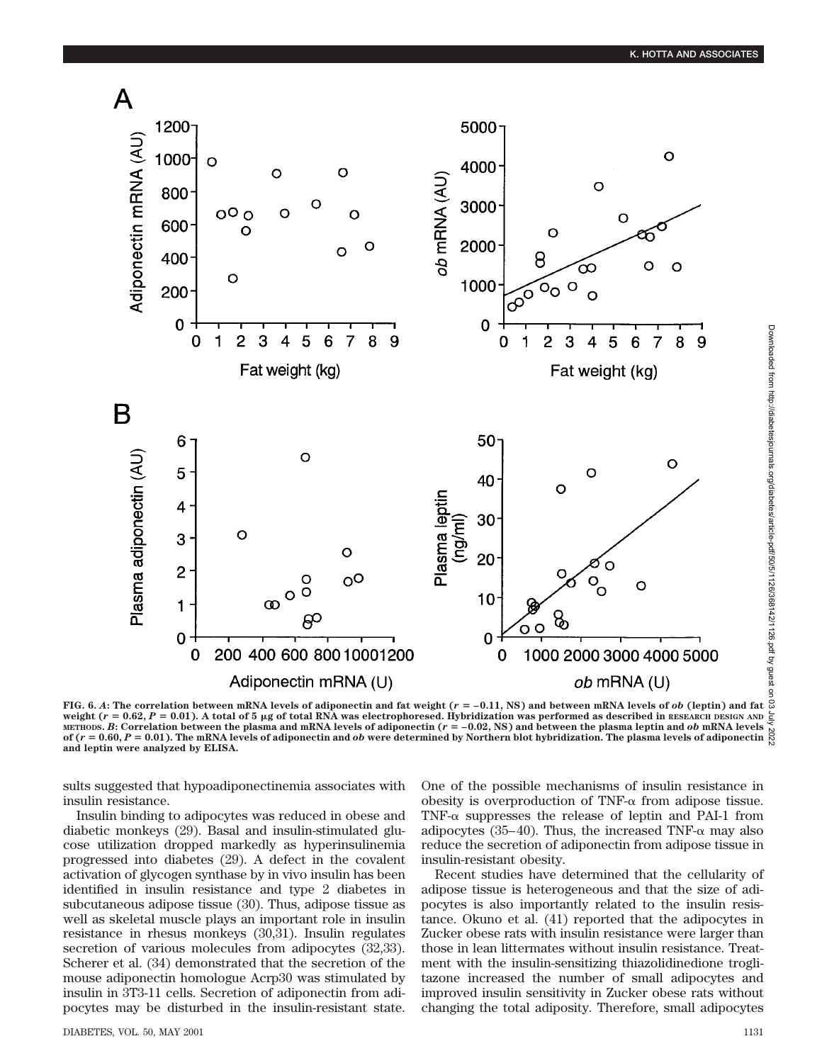

**FIG. 6.** A: The correlation between mRNA levels of adiponectin and fat weight ( $r = -0.11$ , NS) and between mRNA levels of *ob* (leptin) and fat  $\Omega$ weight  $(r = 0.62, P = 0.01)$ . A total of 5 µg of total RNA was electrophoresed. Hybridization was performed as described in RESEARCH DESIGN AND METHODS. *B*: Correlation between the plasma and mRNA levels of adiponectin  $(r = -0.02, NS)$  and between the plasma leptin and *ob* mRNA levels of  $(r = 0.60, P = 0.01)$ . The mRNA levels of adiponectin and *ob* were determined by Northern blot hybridization. The plasma levels of adiponectin

sults suggested that hypoadiponectinemia associates with insulin resistance.

Insulin binding to adipocytes was reduced in obese and diabetic monkeys (29). Basal and insulin-stimulated glucose utilization dropped markedly as hyperinsulinemia progressed into diabetes (29). A defect in the covalent activation of glycogen synthase by in vivo insulin has been identified in insulin resistance and type 2 diabetes in subcutaneous adipose tissue (30). Thus, adipose tissue as well as skeletal muscle plays an important role in insulin resistance in rhesus monkeys (30,31). Insulin regulates secretion of various molecules from adipocytes  $(32,33)$ . Scherer et al. (34) demonstrated that the secretion of the mouse adiponectin homologue Acrp30 was stimulated by insulin in 3T3-11 cells. Secretion of adiponectin from adipocytes may be disturbed in the insulin-resistant state.

**and leptin were analyzed by ELISA.**

One of the possible mechanisms of insulin resistance in obesity is overproduction of TNF- $\alpha$  from adipose tissue. TNF- $\alpha$  suppresses the release of leptin and PAI-1 from adipocytes (35–40). Thus, the increased TNF- $\alpha$  may also reduce the secretion of adiponectin from adipose tissue in insulin-resistant obesity.

Recent studies have determined that the cellularity of adipose tissue is heterogeneous and that the size of adipocytes is also importantly related to the insulin resistance. Okuno et al. (41) reported that the adipocytes in Zucker obese rats with insulin resistance were larger than those in lean littermates without insulin resistance. Treatment with the insulin-sensitizing thiazolidinedione troglitazone increased the number of small adipocytes and improved insulin sensitivity in Zucker obese rats without changing the total adiposity. Therefore, small adipocytes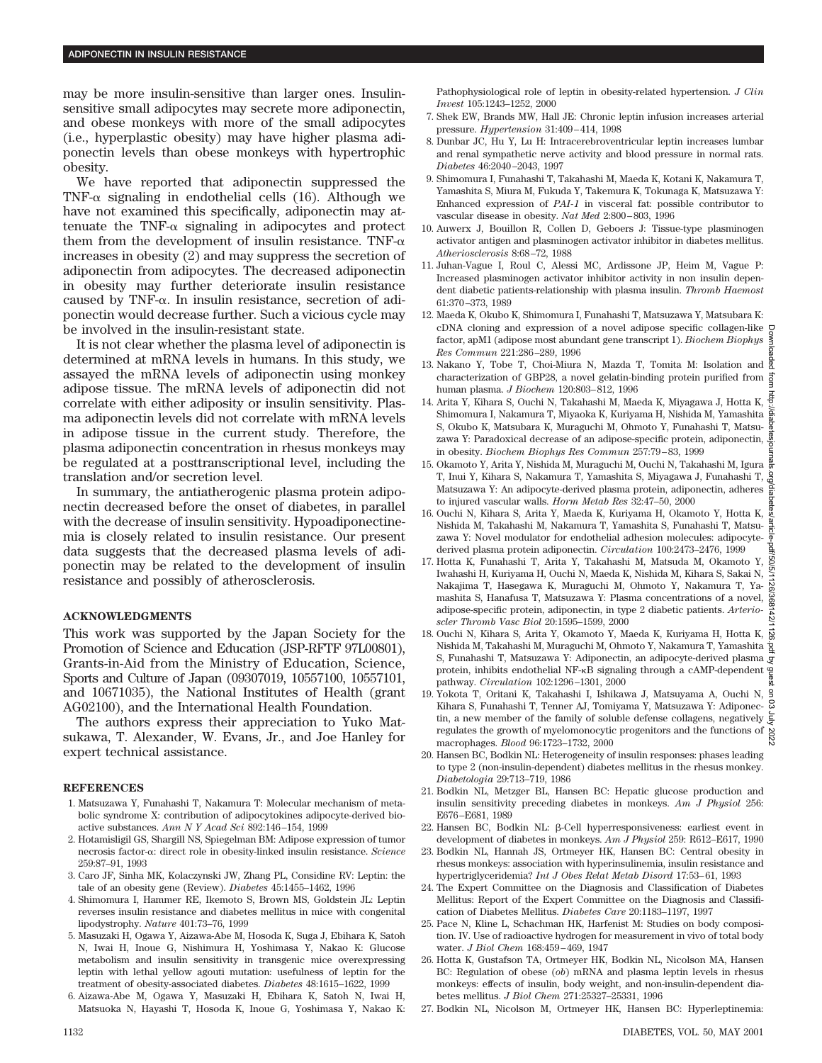may be more insulin-sensitive than larger ones. Insulinsensitive small adipocytes may secrete more adiponectin, and obese monkeys with more of the small adipocytes (i.e., hyperplastic obesity) may have higher plasma adiponectin levels than obese monkeys with hypertrophic obesity.

We have reported that adiponectin suppressed the TNF- $\alpha$  signaling in endothelial cells (16). Although we have not examined this specifically, adiponectin may attenuate the TNF- $\alpha$  signaling in adipocytes and protect them from the development of insulin resistance. TNF- $\alpha$ increases in obesity (2) and may suppress the secretion of adiponectin from adipocytes. The decreased adiponectin in obesity may further deteriorate insulin resistance caused by TNF-a. In insulin resistance, secretion of adiponectin would decrease further. Such a vicious cycle may be involved in the insulin-resistant state.

It is not clear whether the plasma level of adiponectin is determined at mRNA levels in humans. In this study, we assayed the mRNA levels of adiponectin using monkey adipose tissue. The mRNA levels of adiponectin did not correlate with either adiposity or insulin sensitivity. Plasma adiponectin levels did not correlate with mRNA levels in adipose tissue in the current study. Therefore, the plasma adiponectin concentration in rhesus monkeys may be regulated at a posttranscriptional level, including the translation and/or secretion level.

In summary, the antiatherogenic plasma protein adiponectin decreased before the onset of diabetes, in parallel with the decrease of insulin sensitivity. Hypoadiponectinemia is closely related to insulin resistance. Our present data suggests that the decreased plasma levels of adiponectin may be related to the development of insulin resistance and possibly of atherosclerosis.

## **ACKNOWLEDGMENTS**

This work was supported by the Japan Society for the Promotion of Science and Education (JSP-RFTF 97L00801), Grants-in-Aid from the Ministry of Education, Science, Sports and Culture of Japan (09307019, 10557100, 10557101, and 10671035), the National Institutes of Health (grant AG02100), and the International Health Foundation.

The authors express their appreciation to Yuko Matsukawa, T. Alexander, W. Evans, Jr., and Joe Hanley for expert technical assistance.

#### **REFERENCES**

- 1. Matsuzawa Y, Funahashi T, Nakamura T: Molecular mechanism of metabolic syndrome X: contribution of adipocytokines adipocyte-derived bioactive substances. *Ann N Y Acad Sci* 892:146–154, 1999
- 2. Hotamisligil GS, Shargill NS, Spiegelman BM: Adipose expression of tumor necrosis factor-a: direct role in obesity-linked insulin resistance. *Science* 259:87–91, 1993
- 3. Caro JF, Sinha MK, Kolaczynski JW, Zhang PL, Considine RV: Leptin: the tale of an obesity gene (Review). *Diabetes* 45:1455–1462, 1996
- 4. Shimomura I, Hammer RE, Ikemoto S, Brown MS, Goldstein JL: Leptin reverses insulin resistance and diabetes mellitus in mice with congenital lipodystrophy. *Nature* 401:73–76, 1999
- 5. Masuzaki H, Ogawa Y, Aizawa-Abe M, Hosoda K, Suga J, Ebihara K, Satoh N, Iwai H, Inoue G, Nishimura H, Yoshimasa Y, Nakao K: Glucose metabolism and insulin sensitivity in transgenic mice overexpressing leptin with lethal yellow agouti mutation: usefulness of leptin for the treatment of obesity-associated diabetes. *Diabetes* 48:1615–1622, 1999
- 6. Aizawa-Abe M, Ogawa Y, Masuzaki H, Ebihara K, Satoh N, Iwai H, Matsuoka N, Hayashi T, Hosoda K, Inoue G, Yoshimasa Y, Nakao K:

Pathophysiological role of leptin in obesity-related hypertension. *J Clin Invest* 105:1243–1252, 2000

- 7. Shek EW, Brands MW, Hall JE: Chronic leptin infusion increases arterial pressure. *Hypertension* 31:409–414, 1998
- 8. Dunbar JC, Hu Y, Lu H: Intracerebroventricular leptin increases lumbar and renal sympathetic nerve activity and blood pressure in normal rats. *Diabetes* 46:2040–2043, 1997
- 9. Shimomura I, Funahashi T, Takahashi M, Maeda K, Kotani K, Nakamura T, Yamashita S, Miura M, Fukuda Y, Takemura K, Tokunaga K, Matsuzawa Y: Enhanced expression of *PAI-1* in visceral fat: possible contributor to vascular disease in obesity. *Nat Med* 2:800–803, 1996
- 10. Auwerx J, Bouillon R, Collen D, Geboers J: Tissue-type plasminogen activator antigen and plasminogen activator inhibitor in diabetes mellitus. *Atheriosclerosis* 8:68–72, 1988
- 11. Juhan-Vague I, Roul C, Alessi MC, Ardissone JP, Heim M, Vague P: Increased plasminogen activator inhibitor activity in non insulin dependent diabetic patients-relationship with plasma insulin. *Thromb Haemost* 61:370–373, 1989
- 12. Maeda K, Okubo K, Shimomura I, Funahashi T, Matsuzawa Y, Matsubara K: cDNA cloning and expression of a novel adipose specific collagen-like factor, apM1 (adipose most abundant gene transcript 1). *Biochem Biophys Res Commun* 221:286–289, 1996
- 13. Nakano Y, Tobe T, Choi-Miura N, Mazda T, Tomita M: Isolation and characterization of GBP28, a novel gelatin-binding protein purified from  $\frac{3}{2}$ human plasma. *J Biochem* 120:803–812, 1996
- 14. Arita Y, Kihara S, Ouchi N, Takahashi M, Maeda K, Miyagawa J, Hotta K, Shimomura I, Nakamura T, Miyaoka K, Kuriyama H, Nishida M, Yamashita S, Okubo K, Matsubara K, Muraguchi M, Ohmoto Y, Funahashi T, Matsuzawa Y: Paradoxical decrease of an adipose-specific protein, adiponectin,  $\frac{9}{6}$ in obesity. *Biochem Biophys Res Commun* 257:79–83, 1999
- 15. Okamoto Y, Arita Y, Nishida M, Muraguchi M, Ouchi N, Takahashi M, Igura T, Inui Y, Kihara S, Nakamura T, Yamashita S, Miyagawa J, Funahashi T, Matsuzawa Y: An adipocyte-derived plasma protein, adiponectin, adheres to injured vascular walls. *Horm Metab Res* 32:47–50, 2000
- 16. Ouchi N, Kihara S, Arita Y, Maeda K, Kuriyama H, Okamoto Y, Hotta K, Nishida M, Takahashi M, Nakamura T, Yamashita S, Funahashi T, Matsuzawa Y: Novel modulator for endothelial adhesion molecules: adipocytederived plasma protein adiponectin. *Circulation* 100:2473–2476, 1999
- 17. Hotta K, Funahashi T, Arita Y, Takahashi M, Matsuda M, Okamoto Y, VS/1 Iwahashi H, Kuriyama H, Ouchi N, Maeda K, Nishida M, Kihara S, Sakai N, Nakajima T, Hasegawa K, Muraguchi M, Ohmoto Y, Nakamura T, Yamashita S, Hanafusa T, Matsuzawa Y: Plasma concentrations of a novel, adipose-specific protein, adiponectin, in type 2 diabetic patients. *Arterioscler Thromb Vasc Biol* 20:1595–1599, 2000
- 18. Ouchi N, Kihara S, Arita Y, Okamoto Y, Maeda K, Kuriyama H, Hotta K, Nishida M, Takahashi M, Muraguchi M, Ohmoto Y, Nakamura T, Yamashita S, Funahashi T, Matsuzawa Y: Adiponectin, an adipocyte-derived plasma protein, inhibits endothelial NF-kB signaling through a cAMP-dependent pathway. *Circulation* 102:1296–1301, 2000 Downloaded from http://diabetesjournals.org/diabetes/article-pdf/50/5/1126/368142/1126.pdf by guest on 03 July 2022
- 19. Yokota T, Oritani K, Takahashi I, Ishikawa J, Matsuyama A, Ouchi N, Kihara S, Funahashi T, Tenner AJ, Tomiyama Y, Matsuzawa Y: Adiponectin, a new member of the family of soluble defense collagens, negatively  $\overline{\xi}$ tin, a new member of the failury of solutions contains and the functions of  $\frac{8}{8}$ <br>regulates the growth of myelomonocytic progenitors and the functions of  $\frac{8}{8}$ macrophages. *Blood* 96:1723–1732, 2000
- 20. Hansen BC, Bodkin NL: Heterogeneity of insulin responses: phases leading to type 2 (non-insulin-dependent) diabetes mellitus in the rhesus monkey. *Diabetologia* 29:713–719, 1986
- 21. Bodkin NL, Metzger BL, Hansen BC: Hepatic glucose production and insulin sensitivity preceding diabetes in monkeys. *Am J Physiol* 256: E676–E681, 1989
- 22. Hansen BC, Bodkin NL: b-Cell hyperresponsiveness: earliest event in development of diabetes in monkeys. *Am J Physiol* 259: R612–E617, 1990
- 23. Bodkin NL, Hannah JS, Ortmeyer HK, Hansen BC: Central obesity in rhesus monkeys: association with hyperinsulinemia, insulin resistance and hypertriglyceridemia? *Int J Obes Relat Metab Disord* 17:53–61, 1993
- 24. The Expert Committee on the Diagnosis and Classification of Diabetes Mellitus: Report of the Expert Committee on the Diagnosis and Classification of Diabetes Mellitus. *Diabetes Care* 20:1183–1197, 1997
- 25. Pace N, Kline L, Schachman HK, Harfenist M: Studies on body composition. IV. Use of radioactive hydrogen for measurement in vivo of total body water. *J Biol Chem* 168:459–469, 1947
- 26. Hotta K, Gustafson TA, Ortmeyer HK, Bodkin NL, Nicolson MA, Hansen BC: Regulation of obese (*ob*) mRNA and plasma leptin levels in rhesus monkeys: effects of insulin, body weight, and non-insulin-dependent diabetes mellitus. *J Biol Chem* 271:25327–25331, 1996
- 27. Bodkin NL, Nicolson M, Ortmeyer HK, Hansen BC: Hyperleptinemia: